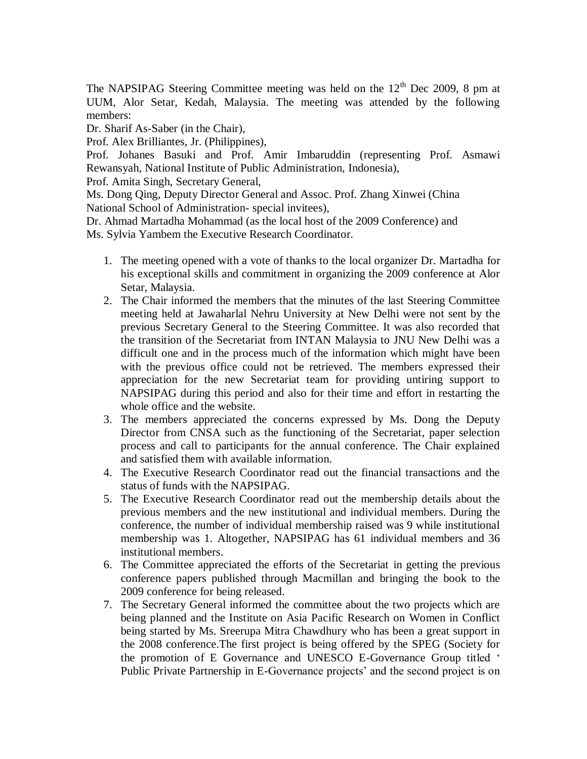The NAPSIPAG Steering Committee meeting was held on the  $12<sup>th</sup>$  Dec 2009, 8 pm at UUM, Alor Setar, Kedah, Malaysia. The meeting was attended by the following members:

Dr. Sharif As-Saber (in the Chair),

Prof. Alex Brilliantes, Jr. (Philippines),

Prof. Johanes Basuki and Prof. Amir Imbaruddin (representing Prof. Asmawi Rewansyah, National Institute of Public Administration, Indonesia),

Prof. Amita Singh, Secretary General,

Ms. Dong Qing, Deputy Director General and Assoc. Prof. Zhang Xinwei (China National School of Administration- special invitees),

Dr. Ahmad Martadha Mohammad (as the local host of the 2009 Conference) and Ms. Sylvia Yambem the Executive Research Coordinator.

- 1. The meeting opened with a vote of thanks to the local organizer Dr. Martadha for his exceptional skills and commitment in organizing the 2009 conference at Alor Setar, Malaysia.
- 2. The Chair informed the members that the minutes of the last Steering Committee meeting held at Jawaharlal Nehru University at New Delhi were not sent by the previous Secretary General to the Steering Committee. It was also recorded that the transition of the Secretariat from INTAN Malaysia to JNU New Delhi was a difficult one and in the process much of the information which might have been with the previous office could not be retrieved. The members expressed their appreciation for the new Secretariat team for providing untiring support to NAPSIPAG during this period and also for their time and effort in restarting the whole office and the website.
- 3. The members appreciated the concerns expressed by Ms. Dong the Deputy Director from CNSA such as the functioning of the Secretariat, paper selection process and call to participants for the annual conference. The Chair explained and satisfied them with available information.
- 4. The Executive Research Coordinator read out the financial transactions and the status of funds with the NAPSIPAG.
- 5. The Executive Research Coordinator read out the membership details about the previous members and the new institutional and individual members. During the conference, the number of individual membership raised was 9 while institutional membership was 1. Altogether, NAPSIPAG has 61 individual members and 36 institutional members.
- 6. The Committee appreciated the efforts of the Secretariat in getting the previous conference papers published through Macmillan and bringing the book to the 2009 conference for being released.
- 7. The Secretary General informed the committee about the two projects which are being planned and the Institute on Asia Pacific Research on Women in Conflict being started by Ms. Sreerupa Mitra Chawdhury who has been a great support in the 2008 conference.The first project is being offered by the SPEG (Society for the promotion of E Governance and UNESCO E-Governance Group titled ' Public Private Partnership in E-Governance projects' and the second project is on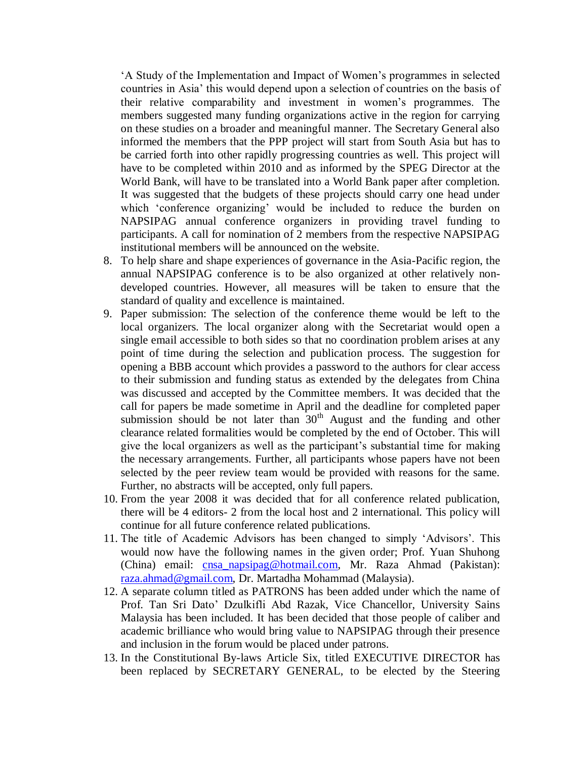'A Study of the Implementation and Impact of Women's programmes in selected countries in Asia' this would depend upon a selection of countries on the basis of their relative comparability and investment in women's programmes. The members suggested many funding organizations active in the region for carrying on these studies on a broader and meaningful manner. The Secretary General also informed the members that the PPP project will start from South Asia but has to be carried forth into other rapidly progressing countries as well. This project will have to be completed within 2010 and as informed by the SPEG Director at the World Bank, will have to be translated into a World Bank paper after completion. It was suggested that the budgets of these projects should carry one head under which 'conference organizing' would be included to reduce the burden on NAPSIPAG annual conference organizers in providing travel funding to participants. A call for nomination of 2 members from the respective NAPSIPAG institutional members will be announced on the website.

- 8. To help share and shape experiences of governance in the Asia-Pacific region, the annual NAPSIPAG conference is to be also organized at other relatively nondeveloped countries. However, all measures will be taken to ensure that the standard of quality and excellence is maintained.
- 9. Paper submission: The selection of the conference theme would be left to the local organizers. The local organizer along with the Secretariat would open a single email accessible to both sides so that no coordination problem arises at any point of time during the selection and publication process. The suggestion for opening a BBB account which provides a password to the authors for clear access to their submission and funding status as extended by the delegates from China was discussed and accepted by the Committee members. It was decided that the call for papers be made sometime in April and the deadline for completed paper submission should be not later than  $30<sup>th</sup>$  August and the funding and other clearance related formalities would be completed by the end of October. This will give the local organizers as well as the participant's substantial time for making the necessary arrangements. Further, all participants whose papers have not been selected by the peer review team would be provided with reasons for the same. Further, no abstracts will be accepted, only full papers.
- 10. From the year 2008 it was decided that for all conference related publication, there will be 4 editors- 2 from the local host and 2 international. This policy will continue for all future conference related publications.
- 11. The title of Academic Advisors has been changed to simply 'Advisors'. This would now have the following names in the given order; Prof. Yuan Shuhong (China) email: [cnsa\\_napsipag@hotmail.com,](mailto:cnsa_napsipag@hotmail.com) Mr. Raza Ahmad (Pakistan): [raza.ahmad@gmail.com,](mailto:raza.ahmad@gmail.com) Dr. Martadha Mohammad (Malaysia).
- 12. A separate column titled as PATRONS has been added under which the name of Prof. Tan Sri Dato' Dzulkifli Abd Razak, Vice Chancellor, University Sains Malaysia has been included. It has been decided that those people of caliber and academic brilliance who would bring value to NAPSIPAG through their presence and inclusion in the forum would be placed under patrons.
- 13. In the Constitutional By-laws Article Six, titled EXECUTIVE DIRECTOR has been replaced by SECRETARY GENERAL, to be elected by the Steering